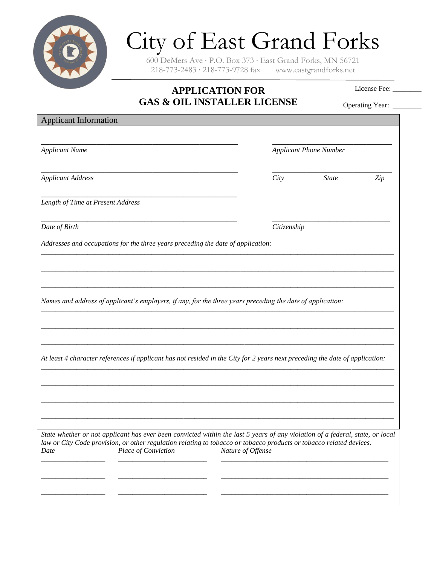

## City of East Grand Forks

600 DeMers Ave ∙ P.O. Box 373 ∙ East Grand Forks, MN 56721 218-773-2483 ∙ 218-773-9728 fax www.eastgrandforks.net

## **APPLICATION FOR GAS & OIL INSTALLER LICENSE**

License Fee: \_\_\_\_\_\_\_\_

| GAS & UIL INSTALLEK LIUENSE                                                                                                                        |                   |                               | Operating Year: |  |
|----------------------------------------------------------------------------------------------------------------------------------------------------|-------------------|-------------------------------|-----------------|--|
| <b>Applicant Information</b>                                                                                                                       |                   |                               |                 |  |
| <b>Applicant Name</b>                                                                                                                              |                   | <b>Applicant Phone Number</b> |                 |  |
| <b>Applicant Address</b>                                                                                                                           | City              | <b>State</b>                  | Zip             |  |
| Length of Time at Present Address                                                                                                                  |                   |                               |                 |  |
| Date of Birth                                                                                                                                      | Citizenship       |                               |                 |  |
| Addresses and occupations for the three years preceding the date of application:                                                                   |                   |                               |                 |  |
|                                                                                                                                                    |                   |                               |                 |  |
|                                                                                                                                                    |                   |                               |                 |  |
| Names and address of applicant's employers, if any, for the three years preceding the date of application:                                         |                   |                               |                 |  |
|                                                                                                                                                    |                   |                               |                 |  |
|                                                                                                                                                    |                   |                               |                 |  |
| At least 4 character references if applicant has not resided in the City for 2 years next preceding the date of application:                       |                   |                               |                 |  |
|                                                                                                                                                    |                   |                               |                 |  |
|                                                                                                                                                    |                   |                               |                 |  |
|                                                                                                                                                    |                   |                               |                 |  |
| State whether or not applicant has ever been convicted within the last 5 years of any violation of a federal, state, or local                      |                   |                               |                 |  |
| law or City Code provision, or other regulation relating to tobacco or tobacco products or tobacco related devices.<br>Place of Conviction<br>Date | Nature of Offense |                               |                 |  |
|                                                                                                                                                    |                   |                               |                 |  |
|                                                                                                                                                    |                   |                               |                 |  |
|                                                                                                                                                    |                   |                               |                 |  |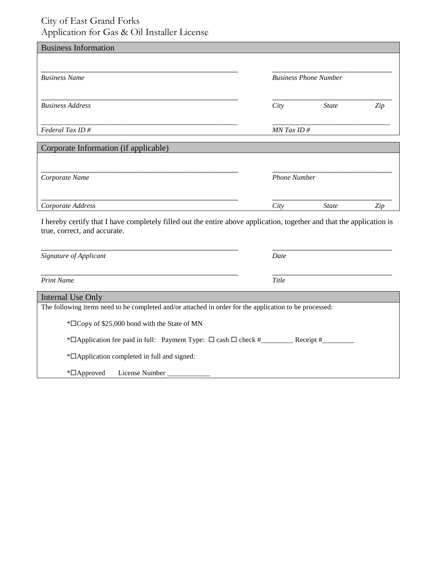## City of East Grand Forks Application for Gas & Oil Installer License

| <b>Business Information</b>                                                                                                                           |                     |                              |     |  |
|-------------------------------------------------------------------------------------------------------------------------------------------------------|---------------------|------------------------------|-----|--|
|                                                                                                                                                       |                     |                              |     |  |
| <b>Business Name</b>                                                                                                                                  |                     | <b>Business Phone Number</b> |     |  |
|                                                                                                                                                       |                     |                              |     |  |
| <b>Business Address</b>                                                                                                                               | City                | <b>State</b>                 | Zip |  |
|                                                                                                                                                       |                     |                              |     |  |
| Federal Tax ID#                                                                                                                                       | $MN$ Tax ID #       |                              |     |  |
| Corporate Information (if applicable)                                                                                                                 |                     |                              |     |  |
|                                                                                                                                                       |                     |                              |     |  |
| Corporate Name                                                                                                                                        | <b>Phone Number</b> |                              |     |  |
|                                                                                                                                                       |                     |                              |     |  |
| Corporate Address                                                                                                                                     | City                | <b>State</b>                 | Zip |  |
|                                                                                                                                                       |                     |                              |     |  |
| I hereby certify that I have completely filled out the entire above application, together and that the application is<br>true, correct, and accurate. |                     |                              |     |  |
|                                                                                                                                                       |                     |                              |     |  |
| Signature of Applicant                                                                                                                                | Date                |                              |     |  |
|                                                                                                                                                       |                     |                              |     |  |
| <b>Print Name</b>                                                                                                                                     | Title               |                              |     |  |
| Internal Use Only                                                                                                                                     |                     |                              |     |  |
| The following items need to be completed and/or attached in order for the application to be processed:                                                |                     |                              |     |  |
| * <sup>D</sup> Copy of \$25,000 bond with the State of MN                                                                                             |                     |                              |     |  |
| *□ Application fee paid in full: Payment Type: □ cash □ check #___________ Receipt #_                                                                 |                     |                              |     |  |
| * <sup>D</sup> Application completed in full and signed:                                                                                              |                     |                              |     |  |
| *□Approved<br>License Number                                                                                                                          |                     |                              |     |  |